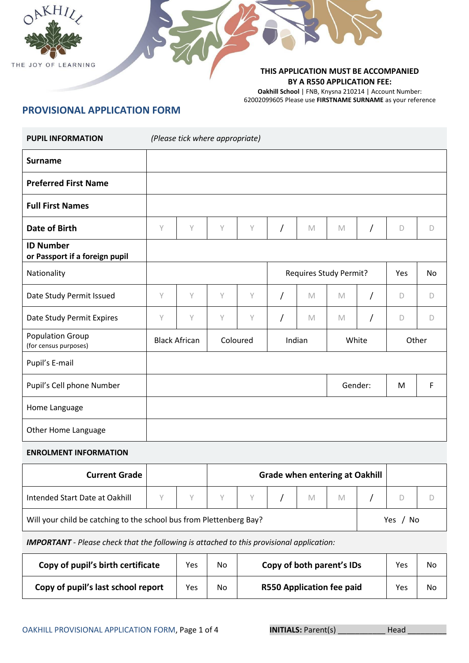



#### **THIS APPLICATION MUST BE ACCOMPANIED BY A R550 APPLICATION FEE:**

**Oakhill School** | FNB, Knysna 210214 | Account Number: 62002099605 Please use **FIRSTNAME SURNAME** as your reference

# **PROVISIONAL APPLICATION FORM**

| <b>PUPIL INFORMATION</b>                           |   | (Please tick where appropriate) |   |              |                |             |                                       |            |             |           |
|----------------------------------------------------|---|---------------------------------|---|--------------|----------------|-------------|---------------------------------------|------------|-------------|-----------|
| <b>Surname</b>                                     |   |                                 |   |              |                |             |                                       |            |             |           |
| <b>Preferred First Name</b>                        |   |                                 |   |              |                |             |                                       |            |             |           |
| <b>Full First Names</b>                            |   |                                 |   |              |                |             |                                       |            |             |           |
| <b>Date of Birth</b>                               | Y | Y                               | Y | $\mathsf{Y}$ | $\prime$       | $\mathbb M$ | M                                     | $\sqrt{2}$ | D           | D         |
| <b>ID Number</b><br>or Passport if a foreign pupil |   |                                 |   |              |                |             |                                       |            |             |           |
| Nationality                                        |   |                                 |   |              |                |             | <b>Requires Study Permit?</b>         |            | Yes         | <b>No</b> |
| Date Study Permit Issued                           | Y | Y                               | Y | $\vee$       | $\prime$       | M           | M                                     | T          | D           | D         |
| Date Study Permit Expires                          | Y | Y                               | Y | Y            | $\overline{1}$ | M           | M                                     | T          | D           | $\Box$    |
| <b>Population Group</b><br>(for census purposes)   |   | <b>Black African</b>            |   | Coloured     |                | Indian      | White                                 |            |             | Other     |
| Pupil's E-mail                                     |   |                                 |   |              |                |             |                                       |            |             |           |
| Pupil's Cell phone Number                          |   |                                 |   |              |                |             |                                       | Gender:    | M           | F         |
| Home Language                                      |   |                                 |   |              |                |             |                                       |            |             |           |
| Other Home Language                                |   |                                 |   |              |                |             |                                       |            |             |           |
| <b>ENROLMENT INFORMATION</b>                       |   |                                 |   |              |                |             |                                       |            |             |           |
| <b>Current Grade</b>                               |   |                                 |   |              |                |             | <b>Grade when entering at Oakhill</b> |            |             |           |
| Intended Start Date at Oakhill                     | Y | Υ                               | Y | Y            |                | $\mathbb M$ | M                                     |            | $\mathsf D$ | $\Box$    |

Will your child be catching to the school bus from Plettenberg Bay? <br>
Yes / No

*IMPORTANT - Please check that the following is attached to this provisional application:*

| Copy of pupil's birth certificate  | Yes | No | Copy of both parent's IDs        | Yes | No |
|------------------------------------|-----|----|----------------------------------|-----|----|
| Copy of pupil's last school report | Yes | No | <b>R550 Application fee paid</b> | Yes | No |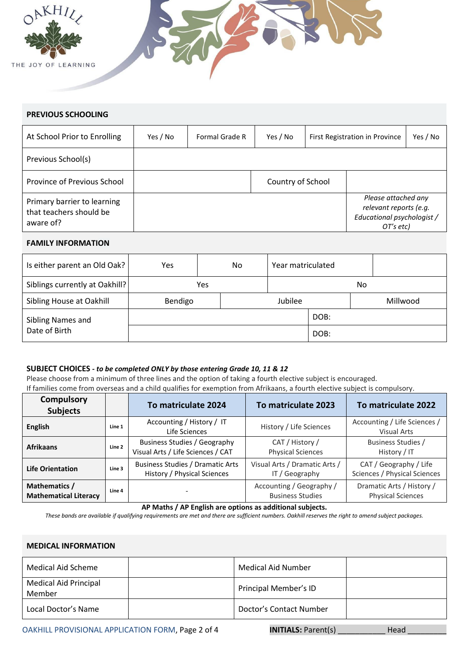



### **PREVIOUS SCHOOLING**

| At School Prior to Enrolling                                        | Yes / No | Formal Grade R | Yes / No          | First Registration in Province                                                           | Yes / No |
|---------------------------------------------------------------------|----------|----------------|-------------------|------------------------------------------------------------------------------------------|----------|
| Previous School(s)                                                  |          |                |                   |                                                                                          |          |
| Province of Previous School                                         |          |                | Country of School |                                                                                          |          |
| Primary barrier to learning<br>that teachers should be<br>aware of? |          |                |                   | Please attached any<br>relevant reports (e.g.<br>Educational psychologist /<br>OT's etc) |          |

#### **FAMILY INFORMATION**

| Is either parent an Old Oak?   | Yes     | No. |  | Year matriculated |      |          |
|--------------------------------|---------|-----|--|-------------------|------|----------|
| Siblings currently at Oakhill? |         | Yes |  | No                |      |          |
| Sibling House at Oakhill       | Bendigo |     |  | Jubilee           |      | Millwood |
| Sibling Names and              |         |     |  |                   | DOB: |          |
| Date of Birth                  |         |     |  |                   | DOB: |          |

#### **SUBJECT CHOICES** *- to be completed ONLY by those entering Grade 10, 11 & 12*

Please choose from a minimum of three lines and the option of taking a fourth elective subject is encouraged. If families come from overseas and a child qualifies for exemption from Afrikaans, a fourth elective subject is compulsory.

| <b>Compulsory</b><br><b>Subjects</b>          |        | To matriculate 2024                                               | To matriculate 2023                                 | To matriculate 2022                                    |
|-----------------------------------------------|--------|-------------------------------------------------------------------|-----------------------------------------------------|--------------------------------------------------------|
| English                                       | Line 1 | Accounting / History / IT<br>Life Sciences                        | History / Life Sciences                             | Accounting / Life Sciences /<br><b>Visual Arts</b>     |
| <b>Afrikaans</b>                              | Line 2 | Business Studies / Geography<br>Visual Arts / Life Sciences / CAT | CAT / History /<br><b>Physical Sciences</b>         | Business Studies /<br>History / IT                     |
| <b>Life Orientation</b>                       | Line 3 | Business Studies / Dramatic Arts<br>History / Physical Sciences   | Visual Arts / Dramatic Arts /<br>IT / Geography     | CAT / Geography / Life<br>Sciences / Physical Sciences |
| Mathematics /<br><b>Mathematical Literacy</b> | Line 4 |                                                                   | Accounting / Geography /<br><b>Business Studies</b> | Dramatic Arts / History /<br><b>Physical Sciences</b>  |

**AP Maths / AP English are options as additional subjects.**

*These bands are available if qualifying requirements are met and there are sufficient numbers. Oakhill reserves the right to amend subject packages.*

#### **MEDICAL INFORMATION**

| Medical Aid Scheme                     | Medical Aid Number      |  |
|----------------------------------------|-------------------------|--|
| <b>Medical Aid Principal</b><br>Member | Principal Member's ID   |  |
| Local Doctor's Name                    | Doctor's Contact Number |  |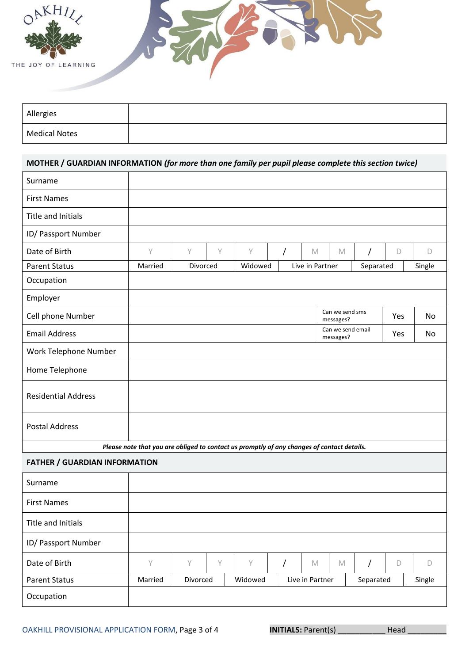



| Allergies            |  |
|----------------------|--|
| <b>Medical Notes</b> |  |

## **MOTHER / GUARDIAN INFORMATION** *(for more than one family per pupil please complete this section twice)*

| Surname                              |                                                                                            |          |   |         |  |                 |                                |           |            |           |
|--------------------------------------|--------------------------------------------------------------------------------------------|----------|---|---------|--|-----------------|--------------------------------|-----------|------------|-----------|
| <b>First Names</b>                   |                                                                                            |          |   |         |  |                 |                                |           |            |           |
| <b>Title and Initials</b>            |                                                                                            |          |   |         |  |                 |                                |           |            |           |
| ID/ Passport Number                  |                                                                                            |          |   |         |  |                 |                                |           |            |           |
| Date of Birth                        | Y                                                                                          | $\vee$   | Υ | Υ       |  | M               | M                              |           | D          | D         |
| <b>Parent Status</b>                 | Married                                                                                    | Divorced |   | Widowed |  | Live in Partner |                                | Separated |            | Single    |
| Occupation                           |                                                                                            |          |   |         |  |                 |                                |           |            |           |
| Employer                             |                                                                                            |          |   |         |  |                 |                                |           |            |           |
| Cell phone Number                    |                                                                                            |          |   |         |  |                 | Can we send sms<br>messages?   |           | Yes        | <b>No</b> |
| <b>Email Address</b>                 |                                                                                            |          |   |         |  |                 | Can we send email<br>messages? |           | <b>Yes</b> | No        |
| Work Telephone Number                |                                                                                            |          |   |         |  |                 |                                |           |            |           |
| Home Telephone                       |                                                                                            |          |   |         |  |                 |                                |           |            |           |
| <b>Residential Address</b>           |                                                                                            |          |   |         |  |                 |                                |           |            |           |
| <b>Postal Address</b>                |                                                                                            |          |   |         |  |                 |                                |           |            |           |
|                                      | Please note that you are obliged to contact us promptly of any changes of contact details. |          |   |         |  |                 |                                |           |            |           |
| <b>FATHER / GUARDIAN INFORMATION</b> |                                                                                            |          |   |         |  |                 |                                |           |            |           |
| Surname                              |                                                                                            |          |   |         |  |                 |                                |           |            |           |
|                                      |                                                                                            |          |   |         |  |                 |                                |           |            |           |

| <b>First Names</b>   |         |          |   |         |                 |   |           |   |        |
|----------------------|---------|----------|---|---------|-----------------|---|-----------|---|--------|
| Title and Initials   |         |          |   |         |                 |   |           |   |        |
| ID/ Passport Number  |         |          |   |         |                 |   |           |   |        |
| Date of Birth        | Υ       | $\vee$   | V | Υ       | M               | M |           | D |        |
| <b>Parent Status</b> | Married | Divorced |   | Widowed | Live in Partner |   | Separated |   | Single |
| Occupation           |         |          |   |         |                 |   |           |   |        |